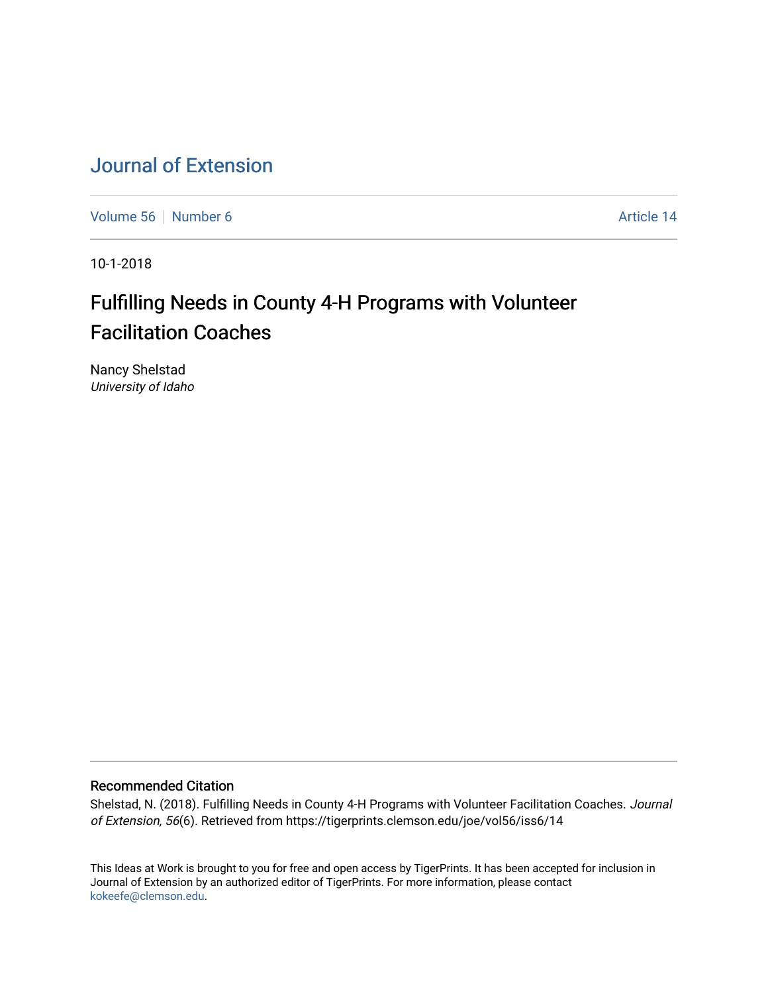## [Journal of Extension](https://tigerprints.clemson.edu/joe)

[Volume 56](https://tigerprints.clemson.edu/joe/vol56) [Number 6](https://tigerprints.clemson.edu/joe/vol56/iss6) **Article 14** Article 14

10-1-2018

# Fulfilling Needs in County 4-H Programs with Volunteer Facilitation Coaches

Nancy Shelstad University of Idaho

#### Recommended Citation

Shelstad, N. (2018). Fulfilling Needs in County 4-H Programs with Volunteer Facilitation Coaches. Journal of Extension, 56(6). Retrieved from https://tigerprints.clemson.edu/joe/vol56/iss6/14

This Ideas at Work is brought to you for free and open access by TigerPrints. It has been accepted for inclusion in Journal of Extension by an authorized editor of TigerPrints. For more information, please contact [kokeefe@clemson.edu](mailto:kokeefe@clemson.edu).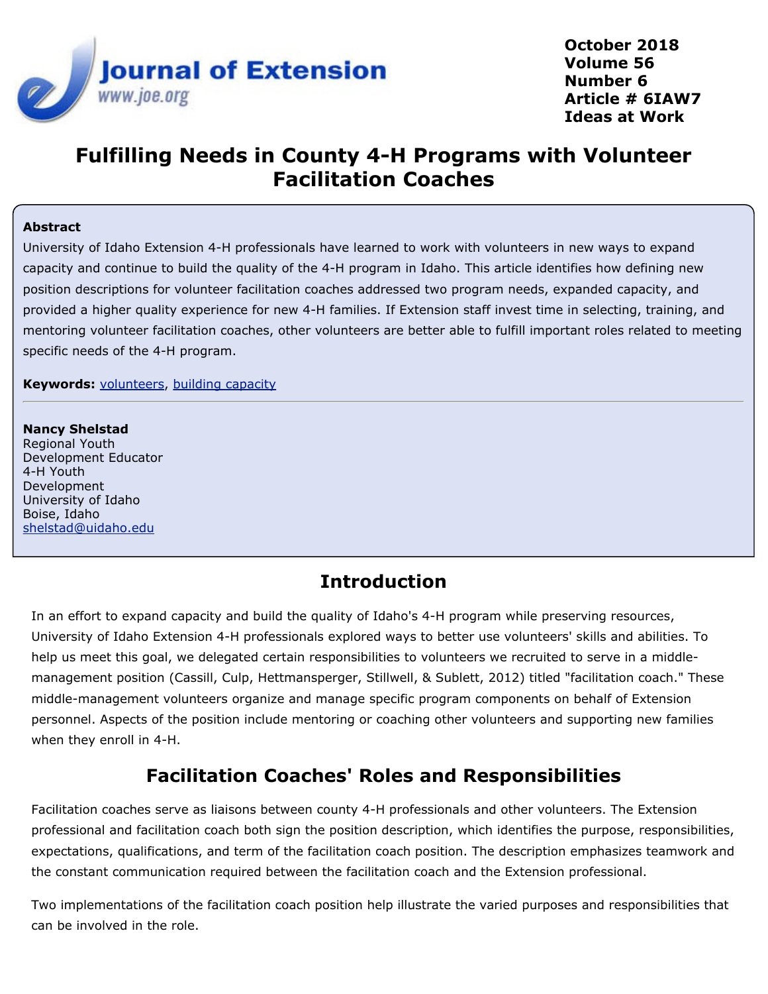

**October 2018 Volume 56 Number 6 Article # 6IAW7 Ideas at Work**

# **Fulfilling Needs in County 4-H Programs with Volunteer Facilitation Coaches**

#### **Abstract**

University of Idaho Extension 4-H professionals have learned to work with volunteers in new ways to expand capacity and continue to build the quality of the 4-H program in Idaho. This article identifies how defining new position descriptions for volunteer facilitation coaches addressed two program needs, expanded capacity, and provided a higher quality experience for new 4-H families. If Extension staff invest time in selecting, training, and mentoring volunteer facilitation coaches, other volunteers are better able to fulfill important roles related to meeting specific needs of the 4-H program.

**Keywords:** [volunteers](https://joe.org/search-results.php?cx=010816128502272931564%3Aopgn_voyplk&cof=FORID%3A10&ie=UTF-8&q=volunteers&sa=Search+JOE#1039\), [building capacity](https://joe.org/search-results.php?cx=010816128502272931564%3Aopgn_voyplk&cof=FORID%3A10&ie=UTF-8&q=building capacity&sa=Search+JOE#1039)

#### **Nancy Shelstad**

Regional Youth Development Educator 4-H Youth Development University of Idaho Boise, Idaho [shelstad@uidaho.edu](mailto:shelstad@uidaho.edu)

### **Introduction**

In an effort to expand capacity and build the quality of Idaho's 4-H program while preserving resources, University of Idaho Extension 4-H professionals explored ways to better use volunteers' skills and abilities. To help us meet this goal, we delegated certain responsibilities to volunteers we recruited to serve in a middlemanagement position (Cassill, Culp, Hettmansperger, Stillwell, & Sublett, 2012) titled "facilitation coach." These middle-management volunteers organize and manage specific program components on behalf of Extension personnel. Aspects of the position include mentoring or coaching other volunteers and supporting new families when they enroll in 4-H.

### **Facilitation Coaches' Roles and Responsibilities**

Facilitation coaches serve as liaisons between county 4-H professionals and other volunteers. The Extension professional and facilitation coach both sign the position description, which identifies the purpose, responsibilities, expectations, qualifications, and term of the facilitation coach position. The description emphasizes teamwork and the constant communication required between the facilitation coach and the Extension professional.

Two implementations of the facilitation coach position help illustrate the varied purposes and responsibilities that can be involved in the role.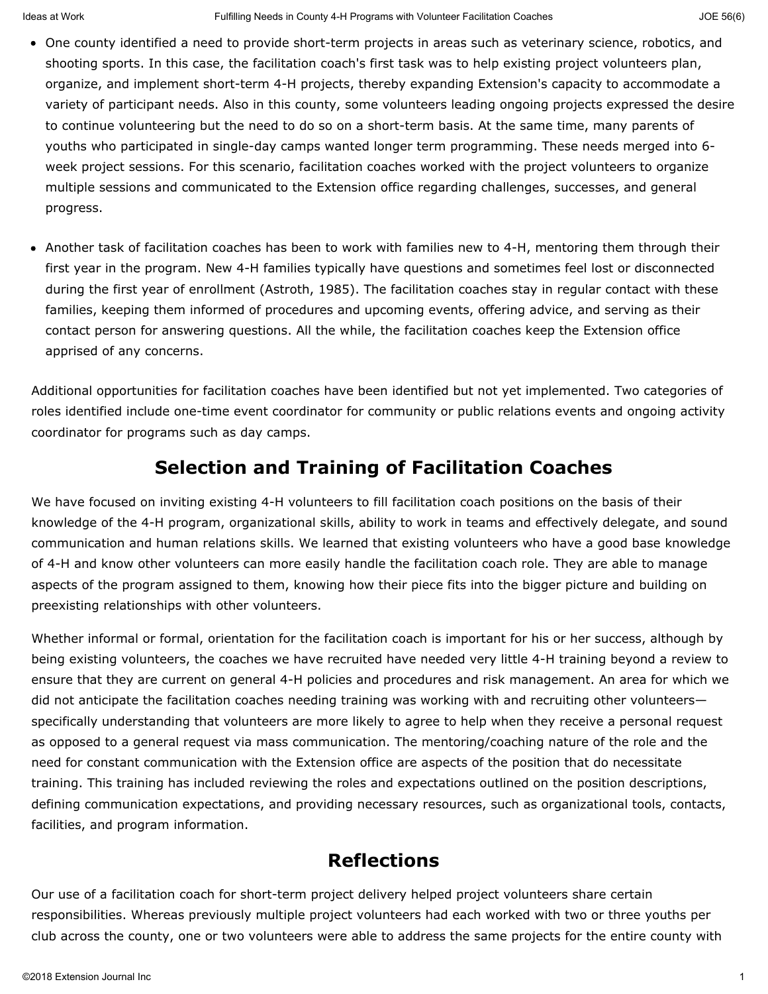- One county identified a need to provide short-term projects in areas such as veterinary science, robotics, and shooting sports. In this case, the facilitation coach's first task was to help existing project volunteers plan, organize, and implement short-term 4-H projects, thereby expanding Extension's capacity to accommodate a variety of participant needs. Also in this county, some volunteers leading ongoing projects expressed the desire to continue volunteering but the need to do so on a short-term basis. At the same time, many parents of youths who participated in single-day camps wanted longer term programming. These needs merged into 6 week project sessions. For this scenario, facilitation coaches worked with the project volunteers to organize multiple sessions and communicated to the Extension office regarding challenges, successes, and general progress.
- Another task of facilitation coaches has been to work with families new to 4-H, mentoring them through their first year in the program. New 4-H families typically have questions and sometimes feel lost or disconnected during the first year of enrollment (Astroth, 1985). The facilitation coaches stay in regular contact with these families, keeping them informed of procedures and upcoming events, offering advice, and serving as their contact person for answering questions. All the while, the facilitation coaches keep the Extension office apprised of any concerns.

Additional opportunities for facilitation coaches have been identified but not yet implemented. Two categories of roles identified include one-time event coordinator for community or public relations events and ongoing activity coordinator for programs such as day camps.

### **Selection and Training of Facilitation Coaches**

We have focused on inviting existing 4-H volunteers to fill facilitation coach positions on the basis of their knowledge of the 4-H program, organizational skills, ability to work in teams and effectively delegate, and sound communication and human relations skills. We learned that existing volunteers who have a good base knowledge of 4-H and know other volunteers can more easily handle the facilitation coach role. They are able to manage aspects of the program assigned to them, knowing how their piece fits into the bigger picture and building on preexisting relationships with other volunteers.

Whether informal or formal, orientation for the facilitation coach is important for his or her success, although by being existing volunteers, the coaches we have recruited have needed very little 4-H training beyond a review to ensure that they are current on general 4-H policies and procedures and risk management. An area for which we did not anticipate the facilitation coaches needing training was working with and recruiting other volunteers specifically understanding that volunteers are more likely to agree to help when they receive a personal request as opposed to a general request via mass communication. The mentoring/coaching nature of the role and the need for constant communication with the Extension office are aspects of the position that do necessitate training. This training has included reviewing the roles and expectations outlined on the position descriptions, defining communication expectations, and providing necessary resources, such as organizational tools, contacts, facilities, and program information.

### **Reflections**

Our use of a facilitation coach for short-term project delivery helped project volunteers share certain responsibilities. Whereas previously multiple project volunteers had each worked with two or three youths per club across the county, one or two volunteers were able to address the same projects for the entire county with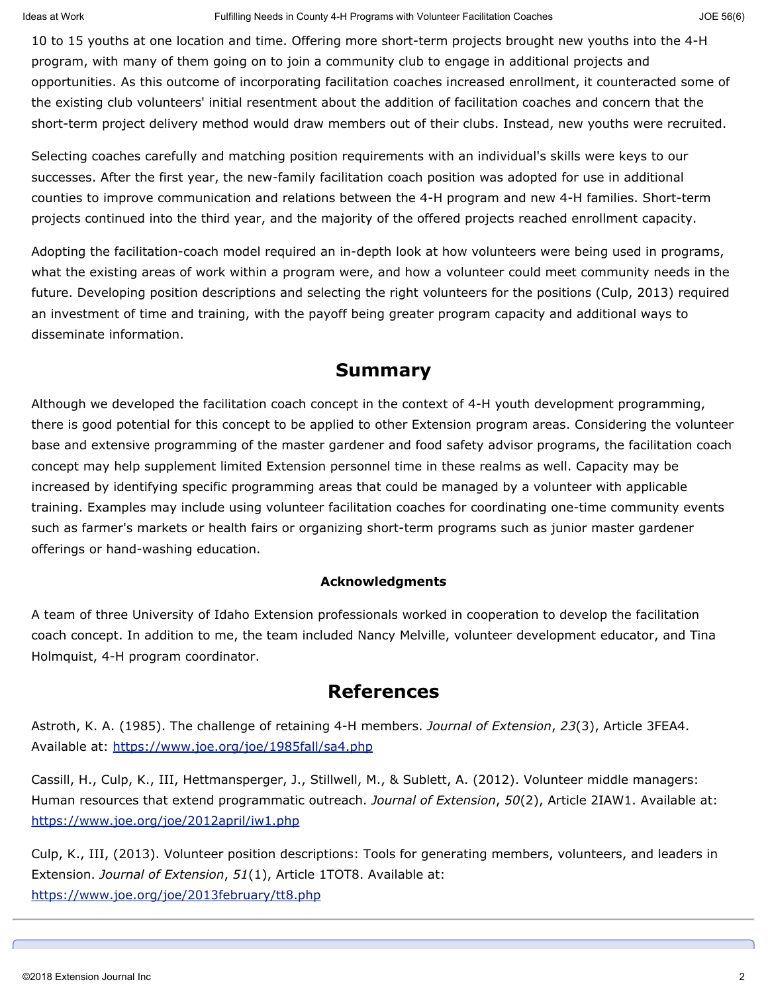10 to 15 youths at one location and time. Offering more short-term projects brought new youths into the 4-H program, with many of them going on to join a community club to engage in additional projects and opportunities. As this outcome of incorporating facilitation coaches increased enrollment, it counteracted some of the existing club volunteers' initial resentment about the addition of facilitation coaches and concern that the short-term project delivery method would draw members out of their clubs. Instead, new youths were recruited.

Selecting coaches carefully and matching position requirements with an individual's skills were keys to our successes. After the first year, the new-family facilitation coach position was adopted for use in additional counties to improve communication and relations between the 4-H program and new 4-H families. Short-term projects continued into the third year, and the majority of the offered projects reached enrollment capacity.

Adopting the facilitation-coach model required an in-depth look at how volunteers were being used in programs, what the existing areas of work within a program were, and how a volunteer could meet community needs in the future. Developing position descriptions and selecting the right volunteers for the positions (Culp, 2013) required an investment of time and training, with the payoff being greater program capacity and additional ways to disseminate information.

#### **Summary**

Although we developed the facilitation coach concept in the context of 4-H youth development programming, there is good potential for this concept to be applied to other Extension program areas. Considering the volunteer base and extensive programming of the master gardener and food safety advisor programs, the facilitation coach concept may help supplement limited Extension personnel time in these realms as well. Capacity may be increased by identifying specific programming areas that could be managed by a volunteer with applicable training. Examples may include using volunteer facilitation coaches for coordinating one-time community events such as farmer's markets or health fairs or organizing short-term programs such as junior master gardener offerings or hand-washing education.

#### **Acknowledgments**

A team of three University of Idaho Extension professionals worked in cooperation to develop the facilitation coach concept. In addition to me, the team included Nancy Melville, volunteer development educator, and Tina Holmquist, 4-H program coordinator.

### **References**

Astroth, K. A. (1985). The challenge of retaining 4-H members. *Journal of Extension*, *23*(3), Article 3FEA4. Available at:<https://www.joe.org/joe/1985fall/sa4.php>

Cassill, H., Culp, K., III, Hettmansperger, J., Stillwell, M., & Sublett, A. (2012). Volunteer middle managers: Human resources that extend programmatic outreach. *Journal of Extension*, *50*(2), Article 2IAW1. Available at: <https://www.joe.org/joe/2012april/iw1.php>

Culp, K., III, (2013). Volunteer position descriptions: Tools for generating members, volunteers, and leaders in Extension. *Journal of Extension*, *51*(1), Article 1TOT8. Available at: <https://www.joe.org/joe/2013february/tt8.php>